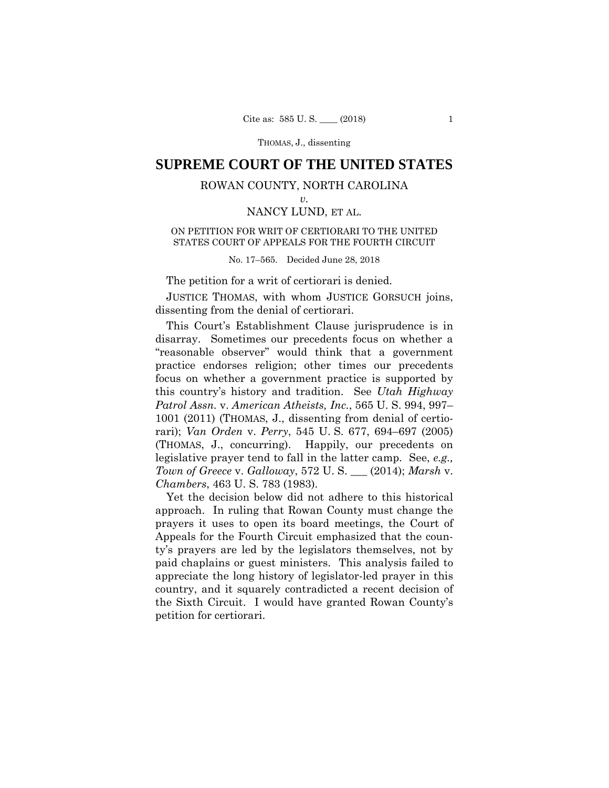# **SUPREME COURT OF THE UNITED STATES**

# ROWAN COUNTY, NORTH CAROLINA

*v.* 

## NANCY LUND, ET AL.

## ON PETITION FOR WRIT OF CERTIORARI TO THE UNITED STATES COURT OF APPEALS FOR THE FOURTH CIRCUIT

No. 17–565. Decided June 28, 2018

The petition for a writ of certiorari is denied.

JUSTICE THOMAS, with whom JUSTICE GORSUCH joins, dissenting from the denial of certiorari.

This Court's Establishment Clause jurisprudence is in disarray. Sometimes our precedents focus on whether a "reasonable observer" would think that a government practice endorses religion; other times our precedents focus on whether a government practice is supported by this country's history and tradition. See *Utah Highway Patrol Assn.* v. *American Atheists, Inc.*, 565 U. S. 994, 997– 1001 (2011) (THOMAS, J., dissenting from denial of certiorari); *Van Orden* v. *Perry*, 545 U. S. 677, 694–697 (2005) (THOMAS, J., concurring). Happily, our precedents on legislative prayer tend to fall in the latter camp. See, *e.g., Town of Greece* v. *Galloway*, 572 U. S. \_\_\_ (2014); *Marsh* v. *Chambers*, 463 U. S. 783 (1983).

Yet the decision below did not adhere to this historical approach. In ruling that Rowan County must change the prayers it uses to open its board meetings, the Court of Appeals for the Fourth Circuit emphasized that the county's prayers are led by the legislators themselves, not by paid chaplains or guest ministers. This analysis failed to appreciate the long history of legislator-led prayer in this country, and it squarely contradicted a recent decision of the Sixth Circuit. I would have granted Rowan County's petition for certiorari.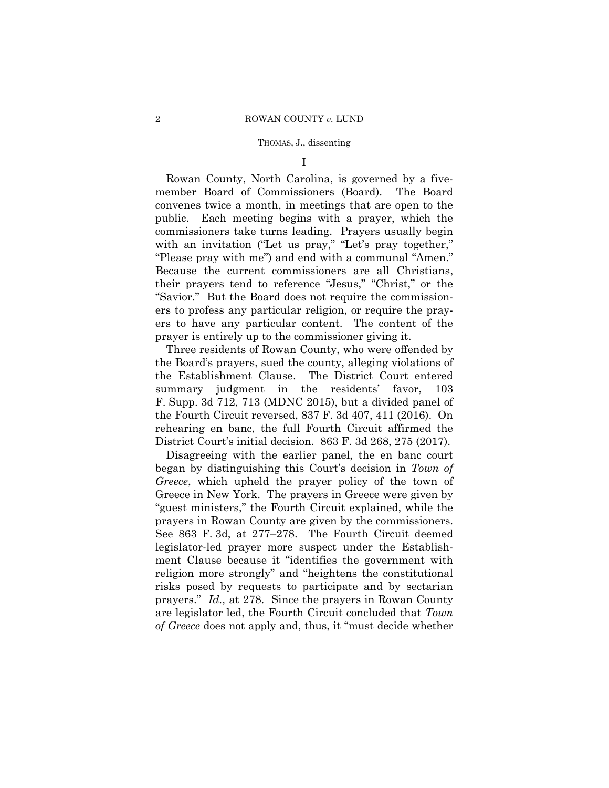I

Rowan County, North Carolina, is governed by a fivemember Board of Commissioners (Board). The Board convenes twice a month, in meetings that are open to the public. Each meeting begins with a prayer, which the commissioners take turns leading. Prayers usually begin with an invitation ("Let us pray," "Let's pray together," "Please pray with me") and end with a communal "Amen." Because the current commissioners are all Christians, their prayers tend to reference "Jesus," "Christ," or the "Savior." But the Board does not require the commissioners to profess any particular religion, or require the prayers to have any particular content. The content of the prayer is entirely up to the commissioner giving it.

Three residents of Rowan County, who were offended by the Board's prayers, sued the county, alleging violations of the Establishment Clause. The District Court entered summary judgment in the residents' favor, 103 F. Supp. 3d 712, 713 (MDNC 2015), but a divided panel of the Fourth Circuit reversed, 837 F. 3d 407, 411 (2016). On rehearing en banc, the full Fourth Circuit affirmed the District Court's initial decision. 863 F. 3d 268, 275 (2017).

Disagreeing with the earlier panel, the en banc court began by distinguishing this Court's decision in *Town of Greece*, which upheld the prayer policy of the town of Greece in New York. The prayers in Greece were given by "guest ministers," the Fourth Circuit explained, while the prayers in Rowan County are given by the commissioners. See 863 F. 3d, at 277–278. The Fourth Circuit deemed legislator-led prayer more suspect under the Establishment Clause because it "identifies the government with religion more strongly" and "heightens the constitutional risks posed by requests to participate and by sectarian prayers." *Id.,* at 278. Since the prayers in Rowan County are legislator led, the Fourth Circuit concluded that *Town of Greece* does not apply and, thus, it "must decide whether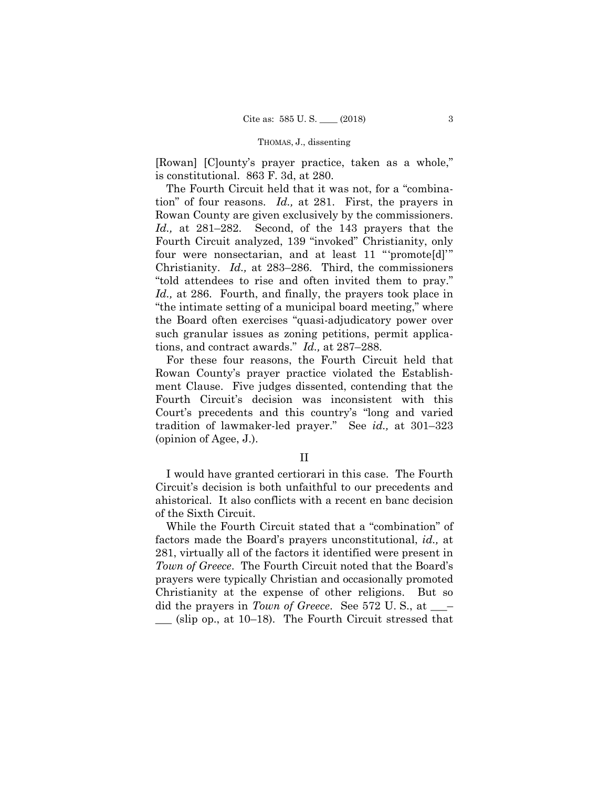[Rowan] [C]ounty's prayer practice, taken as a whole," is constitutional. 863 F. 3d, at 280.

The Fourth Circuit held that it was not, for a "combination" of four reasons. *Id.,* at 281. First, the prayers in Rowan County are given exclusively by the commissioners. *Id.,* at 281–282. Second, of the 143 prayers that the Fourth Circuit analyzed, 139 "invoked" Christianity, only four were nonsectarian, and at least 11 "'promote[d]'" Christianity. *Id.,* at 283–286. Third, the commissioners "told attendees to rise and often invited them to pray." *Id.,* at 286. Fourth, and finally, the prayers took place in "the intimate setting of a municipal board meeting," where the Board often exercises "quasi-adjudicatory power over such granular issues as zoning petitions, permit applications, and contract awards." *Id.,* at 287–288.

For these four reasons, the Fourth Circuit held that Rowan County's prayer practice violated the Establishment Clause. Five judges dissented, contending that the Fourth Circuit's decision was inconsistent with this Court's precedents and this country's "long and varied tradition of lawmaker-led prayer." See *id.,* at 301–323 (opinion of Agee, J.).

II

I would have granted certiorari in this case. The Fourth Circuit's decision is both unfaithful to our precedents and ahistorical. It also conflicts with a recent en banc decision of the Sixth Circuit.

While the Fourth Circuit stated that a "combination" of factors made the Board's prayers unconstitutional, *id.,* at 281, virtually all of the factors it identified were present in *Town of Greece*. The Fourth Circuit noted that the Board's prayers were typically Christian and occasionally promoted Christianity at the expense of other religions. But so did the prayers in *Town of Greece*. See 572 U.S., at \_\_\_  $\Box$  (slip op., at 10–18). The Fourth Circuit stressed that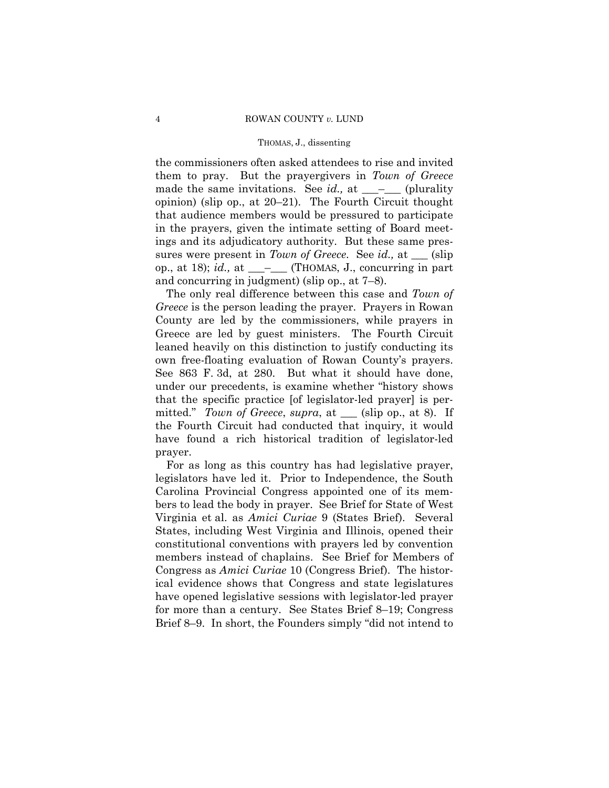the commissioners often asked attendees to rise and invited them to pray. But the prayergivers in *Town of Greece*  made the same invitations. See *id.*, at \_\_\_<sup>\_</sup>\_\_\_ (plurality opinion) (slip op., at 20–21). The Fourth Circuit thought that audience members would be pressured to participate in the prayers, given the intimate setting of Board meetings and its adjudicatory authority. But these same pressures were present in *Town of Greece*. See *id.,* at \_\_\_ (slip op., at 18); *id.*, at  $\_\_\_\_\_\$  (THOMAS, J., concurring in part and concurring in judgment) (slip op., at 7–8).

The only real difference between this case and *Town of Greece* is the person leading the prayer. Prayers in Rowan County are led by the commissioners, while prayers in Greece are led by guest ministers. The Fourth Circuit leaned heavily on this distinction to justify conducting its own free-floating evaluation of Rowan County's prayers. See 863 F. 3d, at 280. But what it should have done, under our precedents, is examine whether "history shows that the specific practice [of legislator-led prayer] is permitted." *Town of Greece*, *supra*, at \_\_\_ (slip op., at 8). If the Fourth Circuit had conducted that inquiry, it would have found a rich historical tradition of legislator-led prayer.

For as long as this country has had legislative prayer, legislators have led it. Prior to Independence, the South Carolina Provincial Congress appointed one of its members to lead the body in prayer. See Brief for State of West Virginia et al. as *Amici Curiae* 9 (States Brief). Several States, including West Virginia and Illinois, opened their constitutional conventions with prayers led by convention members instead of chaplains. See Brief for Members of Congress as *Amici Curiae* 10 (Congress Brief). The historical evidence shows that Congress and state legislatures have opened legislative sessions with legislator-led prayer for more than a century. See States Brief 8–19; Congress Brief 8–9. In short, the Founders simply "did not intend to